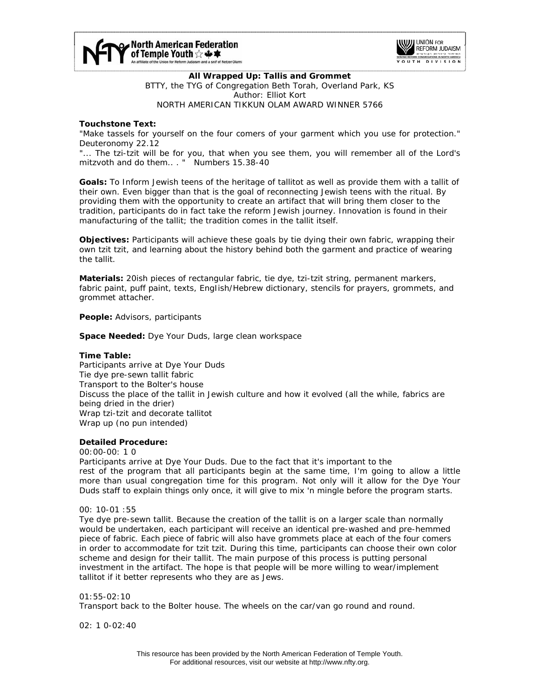



**All Wrapped Up: Tallis and Grommet**  BTTY, the TYG of Congregation Beth Torah, Overland Park, KS Author: Elliot Kort NORTH AMERICAN TIKKUN OLAM AWARD WINNER 5766

## **Touchstone Text:**

"Make tassels for yourself on the four comers of your garment which you use for protection." *Deuteronomy 22.12* 

"... The tzi-tzit will be for you, that when you see them, you will remember all of the Lord's mitzvoth and do them.. . " *Numbers 15.38-40*

**Goals:** To Inform Jewish teens of the heritage of tallitot as well as provide them with a tallit of their own. Even bigger than that is the goal of reconnecting Jewish teens with the ritual. By providing them with the opportunity to create an artifact that will bring them closer to the tradition, participants do in fact take the reform Jewish journey. Innovation is found in their manufacturing of the tallit; the tradition comes in the tallit itself.

**Objectives:** Participants will achieve these goals by tie dying their own fabric, wrapping their own tzit tzit, and learning about the history behind both the garment and practice of wearing the tallit.

**Materials:** 20ish pieces of rectangular fabric, tie dye, tzi-tzit string, permanent markers, fabric paint, puff paint, texts, EngIish/Hebrew dictionary, stencils for prayers, grommets, and grommet attacher.

**People:** Advisors, participants

**Space Needed:** Dye Your Duds, large clean workspace

### **Time Table:**

Participants arrive at Dye Your Duds Tie dye pre-sewn tallit fabric Transport to the Bolter's house Discuss the place of the tallit in Jewish culture and how it evolved (all the while, fabrics are being dried in the drier) Wrap tzi-tzit and decorate tallitot Wrap up (no pun intended)

# **Detailed Procedure:**

00:00-00: 1 0 Participants arrive at Dye Your Duds. Due to the fact that it's important to the rest of the program that all participants begin at the same time, I'm going to allow a little more than usual congregation time for this program. Not only will it allow for the Dye Your Duds staff to explain things only once, it will give to mix 'n mingle before the program starts.

00: 10-01 :55

Tye dye pre-sewn tallit. Because the creation of the tallit is on a larger scale than normally would be undertaken, each participant will receive an identical pre-washed and pre-hemmed piece of fabric. Each piece of fabric will also have grommets place at each of the four comers in order to accommodate for tzit tzit. During this time, participants can choose their own color scheme and design for their tallit. The main purpose of this process is putting personal investment in the artifact. The hope is that people will be more willing to wear/implement tallitot if it better represents who they are as Jews.

01:55-02:10 Transport back to the Bolter house. The wheels on the car/van go round and round.

02: 1 0-02:40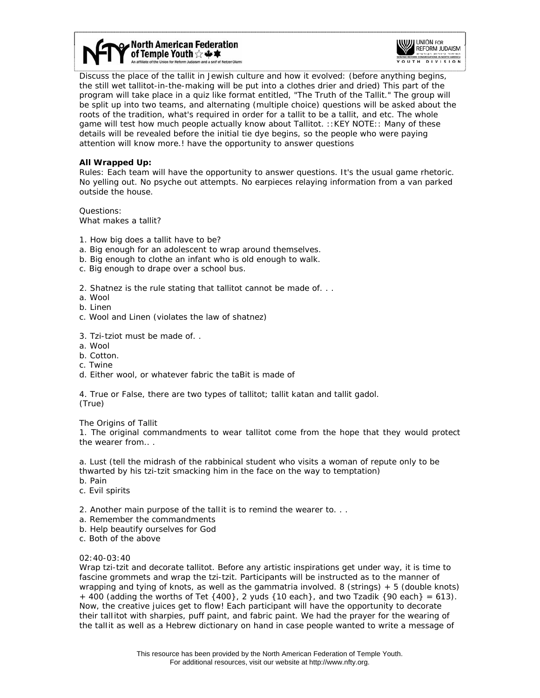



Discuss the place of the tallit in Jewish culture and how it evolved: (before anything begins, the still wet tallitot-in-the-making will be put into a clothes drier and dried) This part of the program will take place in a quiz like format entitled, "The Truth of the Tallit." The group will be split up into two teams, and alternating (multiple choice) questions will be asked about the roots of the tradition, what's required in order for a tallit to be a tallit, and etc. The whole game will test how much people actually know about Tallitot. ::KEY NOTE:: Many of these details will be revealed before the initial tie dye begins, so the people who were paying attention will know more.! have the opportunity to answer questions

### **All Wrapped Up:**

Rules: Each team will have the opportunity to answer questions. It's the usual game rhetoric. No yelling out. No psyche out attempts. No earpieces relaying information from a van parked outside the house.

Questions: What makes a tallit?

- 1. How big does a tallit have to be?
- a. Big enough for an adolescent to wrap around themselves.
- b. Big enough to clothe an infant who is old enough to walk.
- c. Big enough to drape over a school bus.
- 2. Shatnez is the rule stating that tallitot cannot be made of. . .
- a. Wool
- b. Linen
- c. Wool and Linen (violates the law of shatnez)
- 3. Tzi-tziot must be made of. .
- a. Wool
- b. Cotton.
- c. Twine
- d. Either wool, or whatever fabric the taBit is made of

4. True or False, there are two types of tallitot; tallit katan and tallit gadol. (True)

The Origins of Tallit

1. The original commandments to wear tallitot come from the hope that they would protect the wearer from.. *.*

a. Lust (tell the midrash of the rabbinical student who visits a woman of repute only to be thwarted by his tzi-tzit smacking him in the face on the way to temptation)

- b. Pain
- c. Evil spirits
- 2. Another main purpose of the talIit is to remind the wearer to. . .
- a. Remember the commandments
- b. Help beautify ourselves for God
- c. Both of the above

### 02:40-03:40

Wrap tzi-tzit and decorate tallitot. Before any artistic inspirations get under way, it is time to fascine grommets and wrap the tzi-tzit. Participants will be instructed as to the manner of wrapping and tying of knots, as well as the gammatria involved. 8 (strings) + 5 (double knots)  $+$  400 (adding the worths of Tet {400}, 2 yuds {10 each}, and two Tzadik {90 each} = 613). Now, the creative juices get to flow! Each participant will have the opportunity to decorate their talIitot with sharpies, puff paint, and fabric paint. We had the prayer for the wearing of the talIit as well as a Hebrew dictionary on hand in case people wanted to write a message of